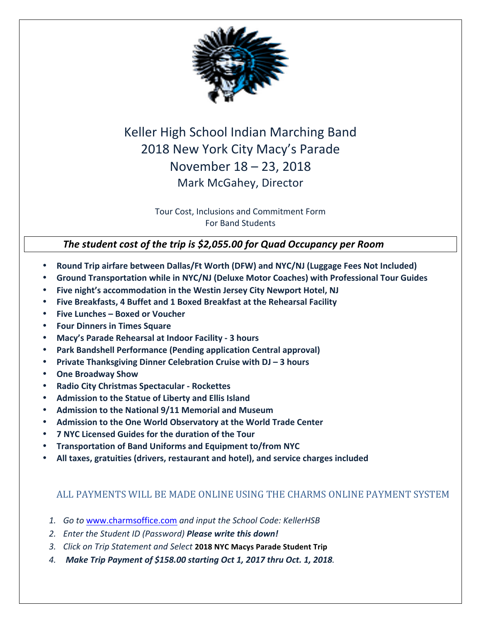

## Keller High School Indian Marching Band 2018 New York City Macy's Parade November 18 – 23, 2018 Mark McGahey, Director

Tour Cost, Inclusions and Commitment Form For Band Students

### The student cost of the trip is \$2,055.00 for Quad Occupancy per Room

- **Round Trip airfare between Dallas/Ft Worth (DFW) and NYC/NJ (Luggage Fees Not Included)**
- **Ground Transportation while in NYC/NJ (Deluxe Motor Coaches) with Professional Tour Guides**
- Five night's accommodation in the Westin Jersey City Newport Hotel, NJ
- Five Breakfasts, 4 Buffet and 1 Boxed Breakfast at the Rehearsal Facility
- **Five Lunches – Boxed or Voucher**
- **Four Dinners in Times Square**
- **Macy's Parade Rehearsal at Indoor Facility - 3 hours**
- **Park Bandshell Performance (Pending application Central approval)**
- **Private Thanksgiving Dinner Celebration Cruise with DJ 3 hours**
- **One Broadway Show**
- **Radio City Christmas Spectacular - Rockettes**
- Admission to the Statue of Liberty and Ellis Island
- Admission to the National 9/11 Memorial and Museum
- Admission to the One World Observatory at the World Trade Center
- **7 NYC Licensed Guides for the duration of the Tour**
- **Transportation of Band Uniforms and Equipment to/from NYC**
- All taxes, gratuities (drivers, restaurant and hotel), and service charges included

### ALL PAYMENTS WILL BE MADE ONLINE USING THE CHARMS ONLINE PAYMENT SYSTEM

- 1. Go to www.charmsoffice.com and input the School Code: KellerHSB
- 2. Enter the Student ID (Password) **Please write this down!**
- *3. Click on Trip Statement and Select* **2018 NYC Macys Parade Student Trip**
- *4. Make Trip Payment of \$158.00 starting Oct 1, 2017 thru Oct. 1, 2018.*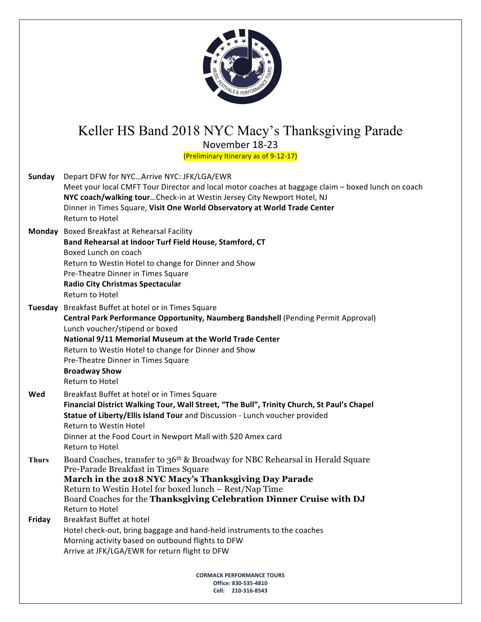

### Keller HS Band 2018 NYC Macy's Thanksgiving Parade November 18-23

(Preliminary Itinerary as of 9-12-17)

| <b>Sunday</b> | Depart DFW for NYCArrive NYC: JFK/LGA/EWR                                                                                    |  |  |  |
|---------------|------------------------------------------------------------------------------------------------------------------------------|--|--|--|
|               | Meet your local CMFT Tour Director and local motor coaches at baggage claim - boxed lunch on coach                           |  |  |  |
|               | NYC coach/walking tour Check-in at Westin Jersey City Newport Hotel, NJ                                                      |  |  |  |
|               | Dinner in Times Square, Visit One World Observatory at World Trade Center                                                    |  |  |  |
|               | <b>Return to Hotel</b>                                                                                                       |  |  |  |
|               | Monday Boxed Breakfast at Rehearsal Facility                                                                                 |  |  |  |
|               | Band Rehearsal at Indoor Turf Field House, Stamford, CT                                                                      |  |  |  |
|               | Boxed Lunch on coach                                                                                                         |  |  |  |
|               | Return to Westin Hotel to change for Dinner and Show                                                                         |  |  |  |
|               | Pre-Theatre Dinner in Times Square                                                                                           |  |  |  |
|               | <b>Radio City Christmas Spectacular</b>                                                                                      |  |  |  |
|               | <b>Return to Hotel</b>                                                                                                       |  |  |  |
|               | Tuesday Breakfast Buffet at hotel or in Times Square                                                                         |  |  |  |
|               | Central Park Performance Opportunity, Naumberg Bandshell (Pending Permit Approval)                                           |  |  |  |
|               | Lunch voucher/stipend or boxed                                                                                               |  |  |  |
|               | National 9/11 Memorial Museum at the World Trade Center                                                                      |  |  |  |
|               | Return to Westin Hotel to change for Dinner and Show                                                                         |  |  |  |
|               | Pre-Theatre Dinner in Times Square                                                                                           |  |  |  |
|               | <b>Broadway Show</b>                                                                                                         |  |  |  |
|               | Return to Hotel                                                                                                              |  |  |  |
| Wed           | Breakfast Buffet at hotel or in Times Square                                                                                 |  |  |  |
|               | Financial District Walking Tour, Wall Street, "The Bull", Trinity Church, St Paul's Chapel                                   |  |  |  |
|               | Statue of Liberty/Ellis Island Tour and Discussion - Lunch voucher provided                                                  |  |  |  |
|               | <b>Return to Westin Hotel</b>                                                                                                |  |  |  |
|               | Dinner at the Food Court in Newport Mall with \$20 Amex card                                                                 |  |  |  |
|               | Return to Hotel                                                                                                              |  |  |  |
| <b>Thurs</b>  | Board Coaches, transfer to 36 <sup>th</sup> & Broadway for NBC Rehearsal in Herald Square                                    |  |  |  |
|               | Pre-Parade Breakfast in Times Square                                                                                         |  |  |  |
|               | March in the 2018 NYC Macy's Thanksgiving Day Parade                                                                         |  |  |  |
|               | Return to Westin Hotel for boxed lunch – Rest/Nap Time                                                                       |  |  |  |
|               | Board Coaches for the Thanksgiving Celebration Dinner Cruise with DJ<br><b>Return to Hotel</b>                               |  |  |  |
|               |                                                                                                                              |  |  |  |
| <b>Friday</b> | Breakfast Buffet at hotel                                                                                                    |  |  |  |
|               | Hotel check-out, bring baggage and hand-held instruments to the coaches<br>Morning activity based on outbound flights to DFW |  |  |  |
|               | Arrive at JFK/LGA/EWR for return flight to DFW                                                                               |  |  |  |
|               |                                                                                                                              |  |  |  |
|               | <b>CORMACK PERFORMANCE TOURS</b>                                                                                             |  |  |  |
|               | Office: 830-535-4810                                                                                                         |  |  |  |
|               | Cell: 210-316-8543                                                                                                           |  |  |  |